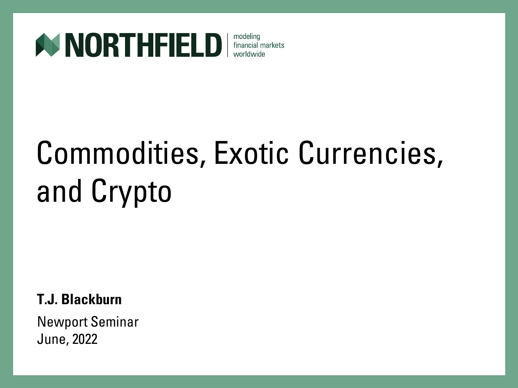

#### modeling financial markets worldwide

# Commodities, Exotic Currencies, and Crypto

**T.J. Blackburn**

Newport Seminar June, 2022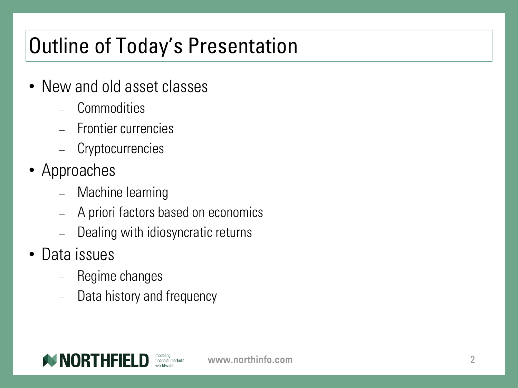### Outline of Today's Presentation

- New and old asset classes
	- − Commodities
	- − Frontier currencies
	- Cryptocurrencies
- Approaches
	- − Machine learning
	- − A priori factors based on economics
	- Dealing with idiosyncratic returns
- Data issues
	- − Regime changes
	- Data history and frequency

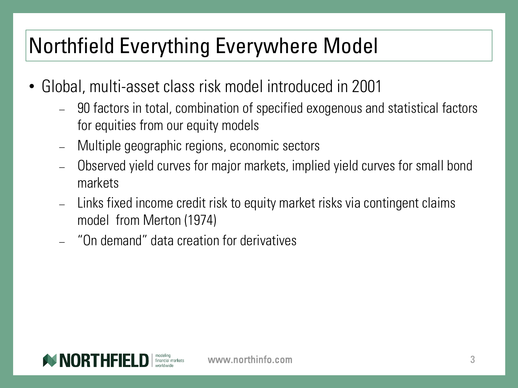#### Northfield Everything Everywhere Model

- Global, multi-asset class risk model introduced in 2001
	- − 90 factors in total, combination of specified exogenous and statistical factors for equities from our equity models
	- − Multiple geographic regions, economic sectors
	- − Observed yield curves for major markets, implied yield curves for small bond markets
	- − Links fixed income credit risk to equity market risks via contingent claims model from Merton (1974)
	- − "On demand" data creation for derivatives

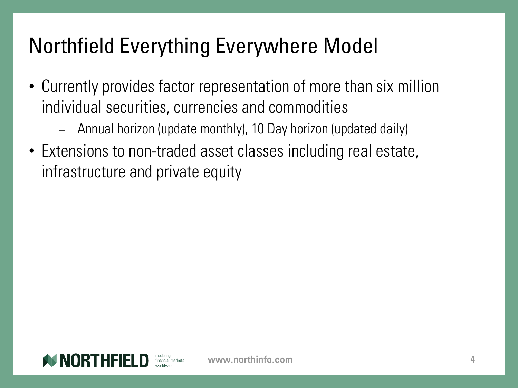#### Northfield Everything Everywhere Model

- Currently provides factor representation of more than six million individual securities, currencies and commodities
	- − Annual horizon (update monthly), 10 Day horizon (updated daily)
- Extensions to non-traded asset classes including real estate, infrastructure and private equity

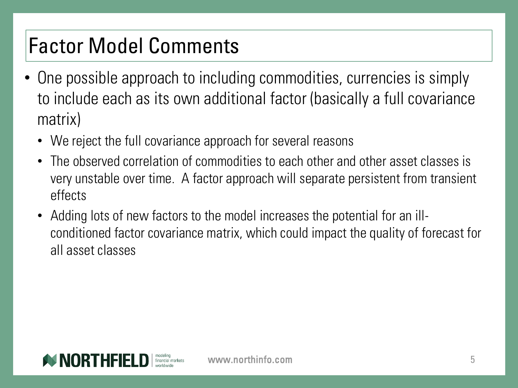# Factor Model Comments

- One possible approach to including commodities, currencies is simply to include each as its own additional factor (basically a full covariance matrix)
	- We reject the full covariance approach for several reasons
	- The observed correlation of commodities to each other and other asset classes is very unstable over time. A factor approach will separate persistent from transient effects
	- Adding lots of new factors to the model increases the potential for an illconditioned factor covariance matrix, which could impact the quality of forecast for all asset classes

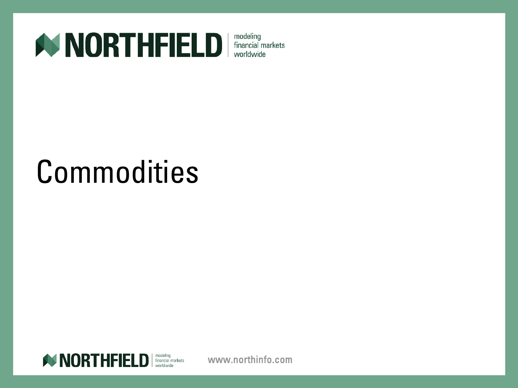

# **Commodities**

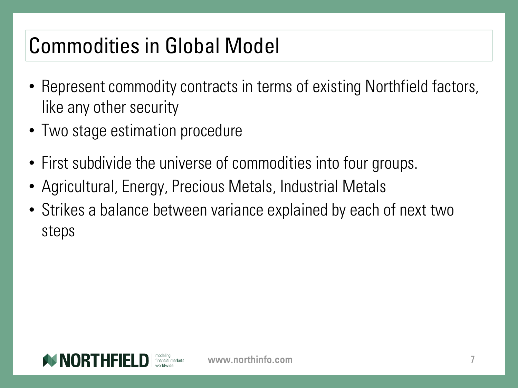### Commodities in Global Model

- Represent commodity contracts in terms of existing Northfield factors, like any other security
- Two stage estimation procedure
- First subdivide the universe of commodities into four groups.
- Agricultural, Energy, Precious Metals, Industrial Metals
- Strikes a balance between variance explained by each of next two steps

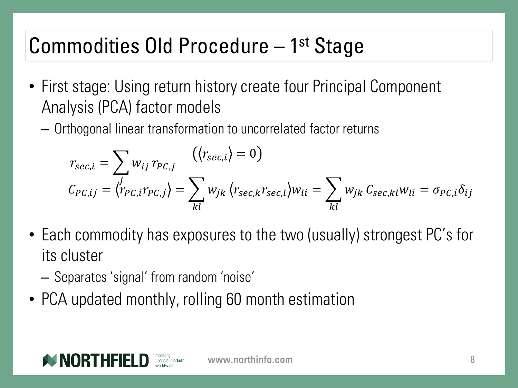#### Commodities Old Procedure - 1<sup>st</sup> Stage

- First stage: Using return history create four Principal Component Analysis (PCA) factor models
	- Orthogonal linear transformation to uncorrelated factor returns

$$
r_{sec,i} = \sum_{i} w_{ij} r_{PC,j} \qquad (\langle r_{sec,i} \rangle = 0)
$$
  

$$
C_{PC,ij} = \langle r_{PC,i} r_{PC,j} \rangle = \sum_{kl} w_{jk} \langle r_{sec,k} r_{sec,l} \rangle w_{li} = \sum_{kl} w_{jk} C_{sec,kl} w_{li} = \sigma_{PC,i} \delta_{ij}
$$

- Each commodity has exposures to the two (usually) strongest PC's for its cluster
	- Separates 'signal' from random 'noise'
- PCA updated monthly, rolling 60 month estimation

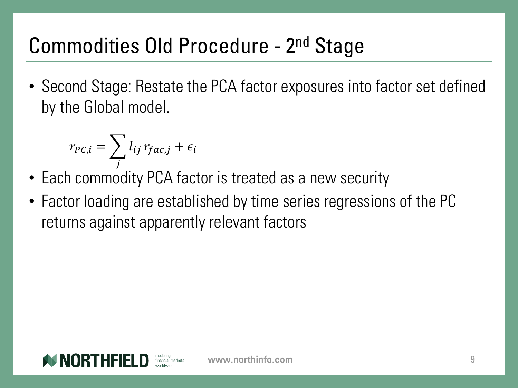#### Commodities Old Procedure - 2<sup>nd</sup> Stage

• Second Stage: Restate the PCA factor exposures into factor set defined by the Global model.

$$
r_{PC,i} = \sum_j l_{ij} r_{fac,j} + \epsilon_i
$$

- Each commodity PCA factor is treated as a new security
- Factor loading are established by time series regressions of the PC returns against apparently relevant factors

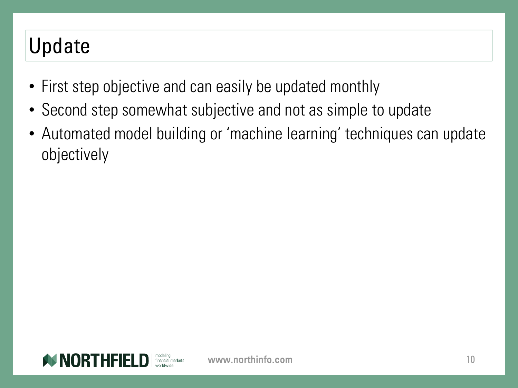#### Update

- First step objective and can easily be updated monthly
- Second step somewhat subjective and not as simple to update
- Automated model building or 'machine learning' techniques can update objectively

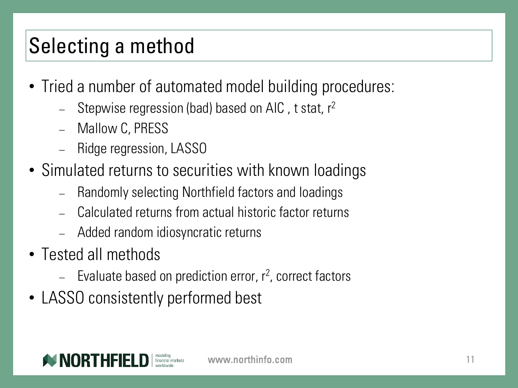# Selecting a method

- Tried a number of automated model building procedures:
	- Stepwise regression (bad) based on AIC, t stat,  $r^2$
	- − Mallow C, PRESS
	- − Ridge regression, LASSO
- Simulated returns to securities with known loadings
	- − Randomly selecting Northfield factors and loadings
	- − Calculated returns from actual historic factor returns
	- − Added random idiosyncratic returns
- Tested all methods
	- − Evaluate based on prediction error, r<sup>2</sup>, correct factors
- LASSO consistently performed best

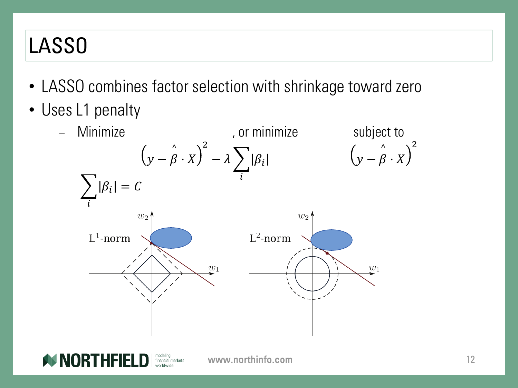# LASSO

- LASSO combines factor selection with shrinkage toward zero
- Uses L1 penalty



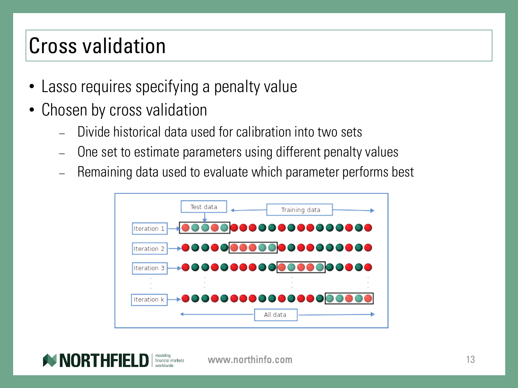### Cross validation

- Lasso requires specifying a penalty value
- Chosen by cross validation
	- Divide historical data used for calibration into two sets
	- One set to estimate parameters using different penalty values
	- − Remaining data used to evaluate which parameter performs best



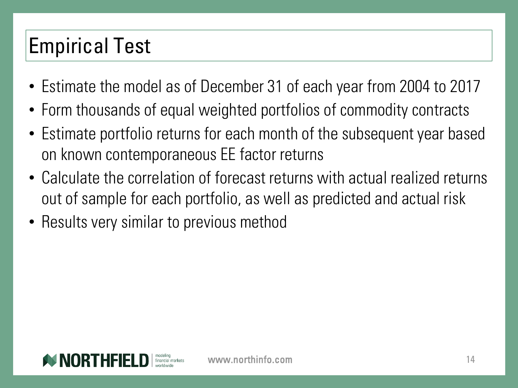# Empirical Test

- Estimate the model as of December 31 of each year from 2004 to 2017
- Form thousands of equal weighted portfolios of commodity contracts
- Estimate portfolio returns for each month of the subsequent year based on known contemporaneous EE factor returns
- Calculate the correlation of forecast returns with actual realized returns out of sample for each portfolio, as well as predicted and actual risk
- Results very similar to previous method

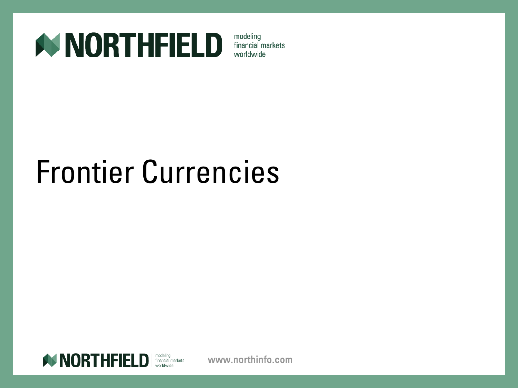

# Frontier Currencies

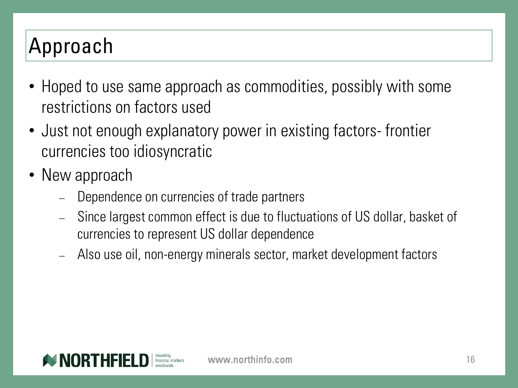# Approach

- Hoped to use same approach as commodities, possibly with some restrictions on factors used
- Just not enough explanatory power in existing factors- frontier currencies too idiosyncratic
- New approach
	- Dependence on currencies of trade partners
	- − Since largest common effect is due to fluctuations of US dollar, basket of currencies to represent US dollar dependence
	- − Also use oil, non-energy minerals sector, market development factors

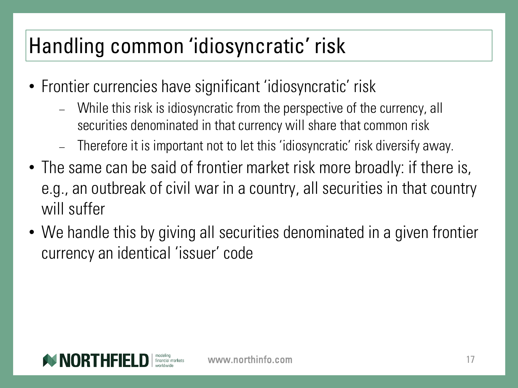# Handling common 'idiosyncratic' risk

- Frontier currencies have significant 'idiosyncratic' risk
	- − While this risk is idiosyncratic from the perspective of the currency, all securities denominated in that currency will share that common risk
	- − Therefore it is important not to let this 'idiosyncratic' risk diversify away.
- The same can be said of frontier market risk more broadly: if there is, e.g., an outbreak of civil war in a country, all securities in that country will suffer
- We handle this by giving all securities denominated in a given frontier currency an identical 'issuer' code

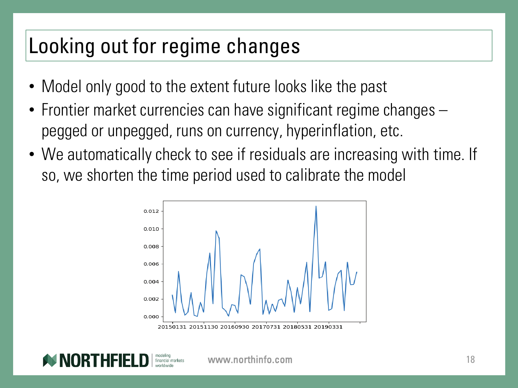#### Looking out for regime changes

- Model only good to the extent future looks like the past
- Frontier market currencies can have significant regime changes pegged or unpegged, runs on currency, hyperinflation, etc.
- We automatically check to see if residuals are increasing with time. If so, we shorten the time period used to calibrate the model



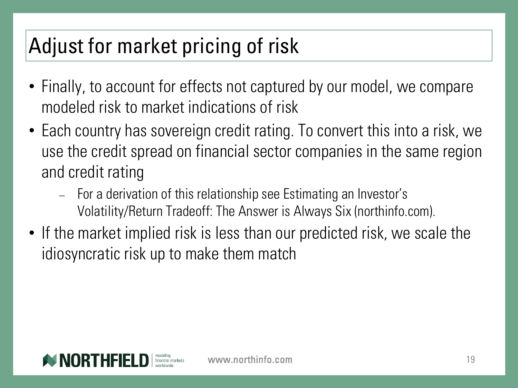## Adjust for market pricing of risk

- Finally, to account for effects not captured by our model, we compare modeled risk to market indications of risk
- Each country has sovereign credit rating. To convert this into a risk, we use the credit spread on financial sector companies in the same region and credit rating
	- − For a derivation of this relationship see Estimating an Investor's Volatility/Return Tradeoff: The Answer is Always Six (northinfo.com).
- If the market implied risk is less than our predicted risk, we scale the idiosyncratic risk up to make them match

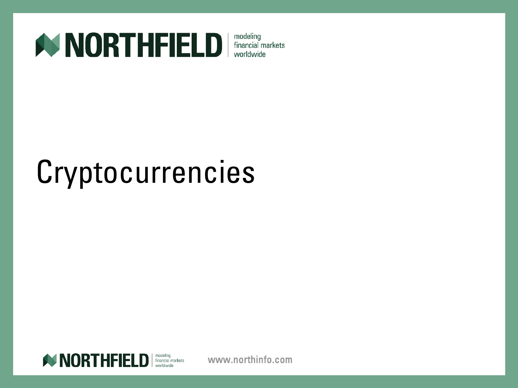

# Cryptocurrencies

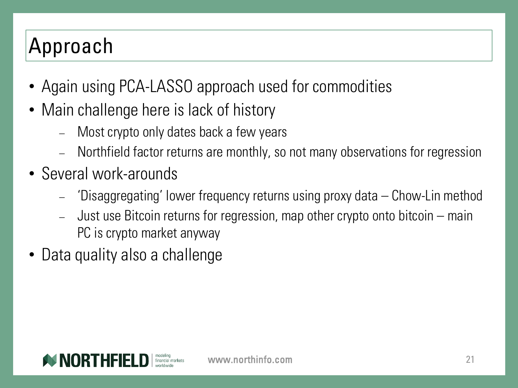# Approach

- Again using PCA-LASSO approach used for commodities
- Main challenge here is lack of history
	- Most crypto only dates back a few years
	- − Northfield factor returns are monthly, so not many observations for regression
- Several work-arounds
	- − 'Disaggregating' lower frequency returns using proxy data Chow-Lin method
	- − Just use Bitcoin returns for regression, map other crypto onto bitcoin main PC is crypto market anyway
- Data quality also a challenge

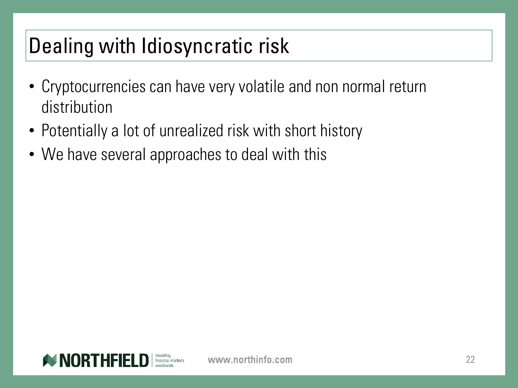### Dealing with Idiosyncratic risk

- Cryptocurrencies can have very volatile and non normal return distribution
- Potentially a lot of unrealized risk with short history
- We have several approaches to deal with this

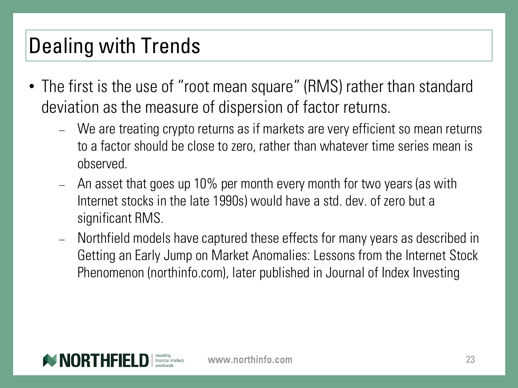### Dealing with Trends

- The first is the use of "root mean square" (RMS) rather than standard deviation as the measure of dispersion of factor returns.
	- − We are treating crypto returns as if markets are very efficient so mean returns to a factor should be close to zero, rather than whatever time series mean is observed.
	- − An asset that goes up 10% per month every month for two years (as with Internet stocks in the late 1990s) would have a std. dev. of zero but a significant RMS.
	- − Northfield models have captured these effects for many years as described in Getting an Early Jump on Market Anomalies: Lessons from the Internet Stock Phenomenon (northinfo.com), later published in Journal of Index Investing

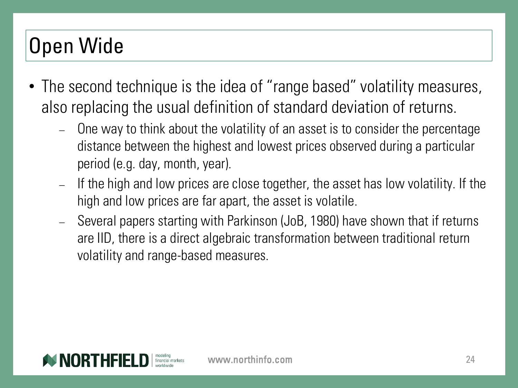# Open Wide

- The second technique is the idea of "range based" volatility measures, also replacing the usual definition of standard deviation of returns.
	- − One way to think about the volatility of an asset is to consider the percentage distance between the highest and lowest prices observed during a particular period (e.g. day, month, year).
	- − If the high and low prices are close together, the asset has low volatility. If the high and low prices are far apart, the asset is volatile.
	- − Several papers starting with Parkinson (JoB, 1980) have shown that if returns are IID, there is a direct algebraic transformation between traditional return volatility and range-based measures.

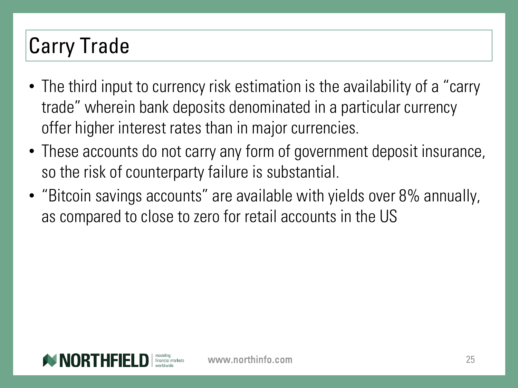# Carry Trade

- The third input to currency risk estimation is the availability of a "carry trade" wherein bank deposits denominated in a particular currency offer higher interest rates than in major currencies.
- These accounts do not carry any form of government deposit insurance, so the risk of counterparty failure is substantial.
- "Bitcoin savings accounts" are available with yields over 8% annually, as compared to close to zero for retail accounts in the US

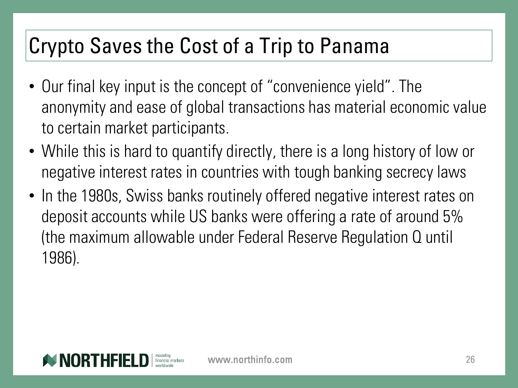#### Crypto Saves the Cost of a Trip to Panama

- Our final key input is the concept of "convenience yield". The anonymity and ease of global transactions has material economic value to certain market participants.
- While this is hard to quantify directly, there is a long history of low or negative interest rates in countries with tough banking secrecy laws
- In the 1980s, Swiss banks routinely offered negative interest rates on deposit accounts while US banks were offering a rate of around 5% (the maximum allowable under Federal Reserve Regulation Q until 1986).

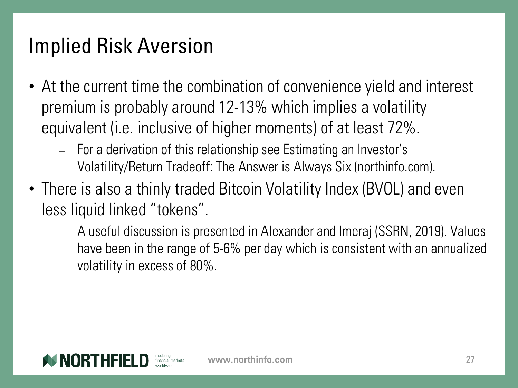#### Implied Risk Aversion

- At the current time the combination of convenience yield and interest premium is probably around 12-13% which implies a volatility equivalent (i.e. inclusive of higher moments) of at least 72%.
	- − For a derivation of this relationship see Estimating an Investor's Volatility/Return Tradeoff: The Answer is Always Six (northinfo.com).
- There is also a thinly traded Bitcoin Volatility Index (BVOL) and even less liquid linked "tokens".
	- − A useful discussion is presented in Alexander and Imeraj (SSRN, 2019). Values have been in the range of 5-6% per day which is consistent with an annualized volatility in excess of 80%.

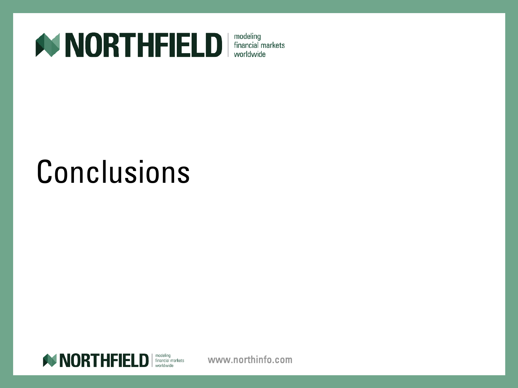

# Conclusions